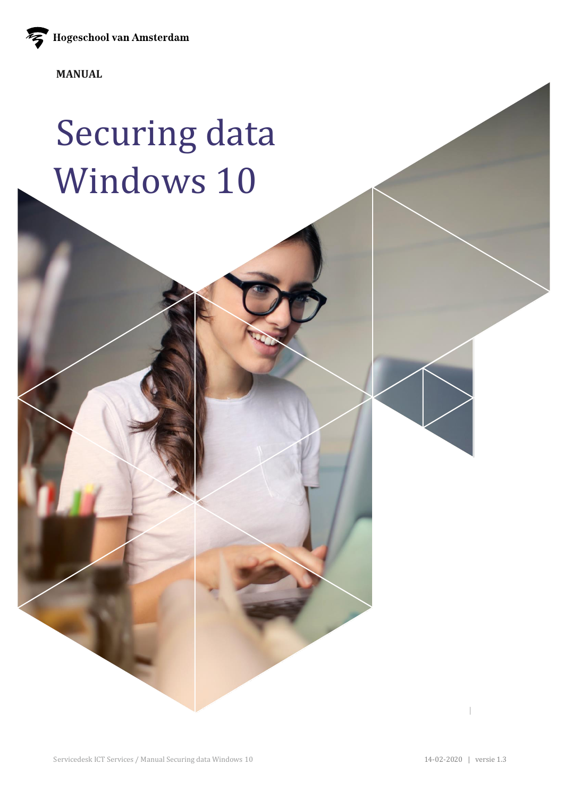Hogeschool van Amsterdam

**MANUAL**

# Securing data Windows 10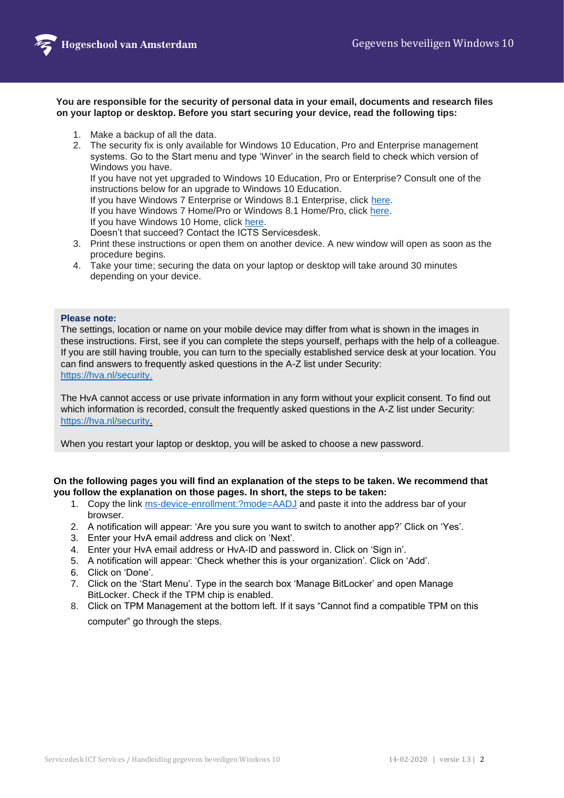

#### **You are responsible for the security of personal data in your email, documents and research files on your laptop or desktop. Before you start securing your device, read the following tips:**

- 1. Make a backup of all the data.
- 2. The security fix is only available for Windows 10 Education, Pro and Enterprise management systems. Go to the Start menu and type 'Winver' in the search field to check which version of Windows you have.

If you have not yet upgraded to Windows 10 Education, Pro or Enterprise? Consult one of the instructions below for an upgrade to Windows 10 Education.

If you have Windows 7 Enterprise or Windows 8.1 Enterprise, click [here.](https://www.amsterdamuas.com/binaries/content/assets/serviceplein-a-z-lemmas/its-si/ict-beveiliging/manual-upgrade-windows-7-8.1-enterprise-to-windows-10-edu-hva.pdf?1573820891634)

If you have Windows 7 Home/Pro or Windows 8.1 Home/Pro, click [here.](https://www.amsterdamuas.com/binaries/content/assets/serviceplein-a-z-lemmas/its-si/ict-beveiliging/manual-upgrade-windows-7-home-pro-naar-windows-10-educatie-hva.pdf?1573820825889)

If you have Windows 10 Home, click [here.](https://www.amsterdamuas.com/binaries/content/assets/serviceplein-a-z-lemmas/its-si/ict-beveiliging/manual-upgrade-windows-10-home-to-windows-10-education-hva.pdf?1573820746474)

Doesn't that succeed? Contact the ICTS Servicesdesk.

- 3. Print these instructions or open them on another device. A new window will open as soon as the procedure begins.
- 4. Take your time; securing the data on your laptop or desktop will take around 30 minutes depending on your device.

### **Please note:**

The settings, location or name on your mobile device may differ from what is shown in the images in these instructions. First, see if you can complete the steps yourself, perhaps with the help of a colleague. If you are still having trouble, you can turn to the specially established service desk at your location. You can find answers to frequently asked questions in the A-Z list under Security: <https://hva.nl/security.>

The HvA cannot access or use private information in any form without your explicit consent. To find out which information is recorded, consult the frequently asked questions in the A-Z list under Security: [https://hva.nl/security.](https://hva.nl/security)

When you restart your laptop or desktop, you will be asked to choose a new password.

## **On the following pages you will find an explanation of the steps to be taken. We recommend that you follow the explanation on those pages. In short, the steps to be taken:**

- 1. Copy the link<ms-device-enrollment:?mode=AADJ> and paste it into the address bar of your browser.
- 2. A notification will appear: 'Are you sure you want to switch to another app?' Click on 'Yes'.
- 3. Enter your HvA email address and click on 'Next'.
- 4. Enter your HvA email address or HvA-ID and password in. Click on 'Sign in'.
- 5. A notification will appear: 'Check whether this is your organization'. Click on 'Add'.
- 6. Click on 'Done'.
- 7. Click on the 'Start Menu'. Type in the search box 'Manage BitLocker' and open Manage BitLocker. Check if the TPM chip is enabled.
- 8. Click on TPM Management at the bottom left. If it says "Cannot find a compatible TPM on this computer" go through the steps.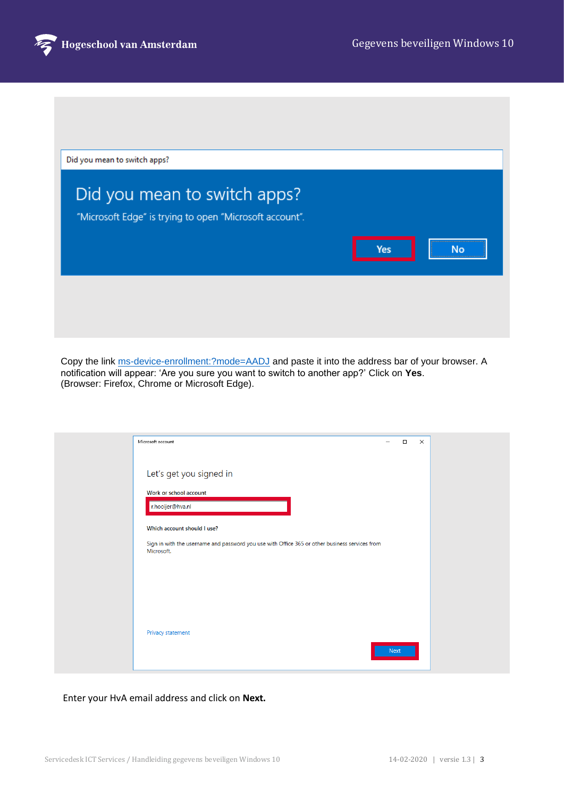

| Yes | No. |
|-----|-----|
|     |     |

Copy the link<ms-device-enrollment:?mode=AADJ> and paste it into the address bar of your browser. A notification will appear: 'Are you sure you want to switch to another app?' Click on **Yes**. (Browser: Firefox, Chrome or Microsoft Edge).

| Microsoft account                                                                                            | -    | $\Box$ | $\times$ |  |
|--------------------------------------------------------------------------------------------------------------|------|--------|----------|--|
| Let's get you signed in                                                                                      |      |        |          |  |
| Work or school account<br>r.hooijer@hva.nl                                                                   |      |        |          |  |
| Which account should I use?                                                                                  |      |        |          |  |
| Sign in with the username and password you use with Office 365 or other business services from<br>Microsoft. |      |        |          |  |
|                                                                                                              |      |        |          |  |
|                                                                                                              |      |        |          |  |
| Privacy statement                                                                                            | Next |        |          |  |
|                                                                                                              |      |        |          |  |

## Enter your HvA email address and click on **Next.**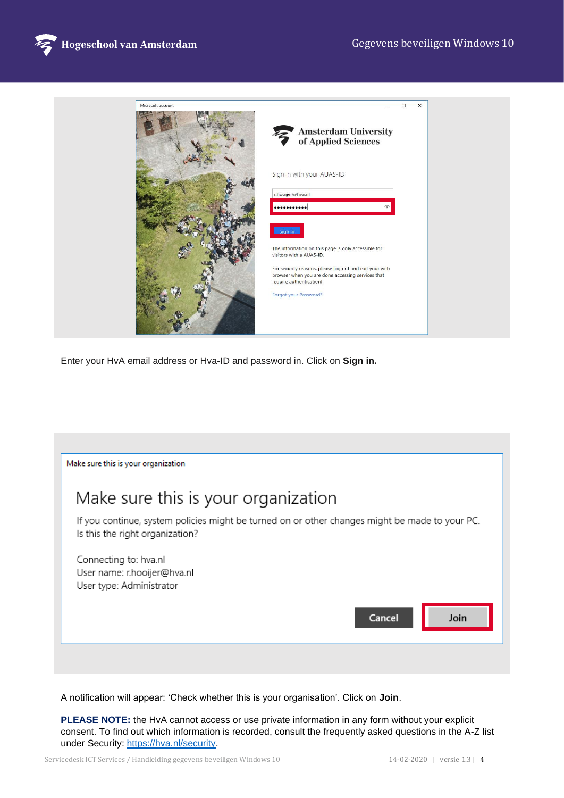



Enter your HvA email address or Hva-ID and password in. Click on **Sign in.**

| Make sure this is your organization                                                                                               |        |      |
|-----------------------------------------------------------------------------------------------------------------------------------|--------|------|
| Make sure this is your organization                                                                                               |        |      |
| If you continue, system policies might be turned on or other changes might be made to your PC.<br>Is this the right organization? |        |      |
| Connecting to: hva.nl<br>User name: r.hooijer@hva.nl<br>User type: Administrator                                                  |        |      |
|                                                                                                                                   | Cancel | Join |

A notification will appear: 'Check whether this is your organisation'. Click on **Join**.

**PLEASE NOTE:** the HvA cannot access or use private information in any form without your explicit consent. To find out which information is recorded, consult the frequently asked questions in the A-Z list under Security: https://hva.nl/security.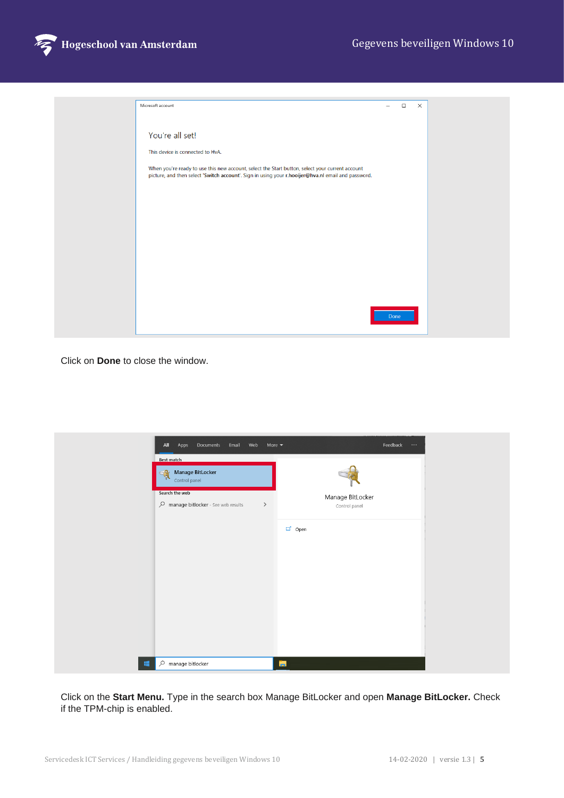

| Microsoft account                                                                                                                                                                                     |      | $\Box$ | $\times$ |  |
|-------------------------------------------------------------------------------------------------------------------------------------------------------------------------------------------------------|------|--------|----------|--|
| You're all set!                                                                                                                                                                                       |      |        |          |  |
| This device is connected to HvA.                                                                                                                                                                      |      |        |          |  |
| When you're ready to use this new account, select the Start button, select your current account<br>picture, and then select 'Switch account'. Sign in using your r.hooijer@hva.nl email and password. |      |        |          |  |
|                                                                                                                                                                                                       |      |        |          |  |
|                                                                                                                                                                                                       |      |        |          |  |
|                                                                                                                                                                                                       |      |        |          |  |
|                                                                                                                                                                                                       |      |        |          |  |
|                                                                                                                                                                                                       |      |        |          |  |
|                                                                                                                                                                                                       | Done |        |          |  |
|                                                                                                                                                                                                       |      |        |          |  |

Click on **Done** to close the window.

| Documents Email Web<br>All<br>Apps                        | More $\blacktriangledown$ | Feedback $\cdots$ |
|-----------------------------------------------------------|---------------------------|-------------------|
| Best match                                                |                           |                   |
| <b>Manage BitLocker</b><br>$\frac{1}{2}$<br>Control panel |                           |                   |
| Search the web                                            |                           | Manage BitLocker  |
| $\mathcal{P}$ manage bitlocker - See web results          | $\,$                      | Control panel     |
|                                                           |                           | □ Open            |
|                                                           |                           |                   |
|                                                           |                           |                   |
|                                                           |                           |                   |
|                                                           |                           |                   |
|                                                           |                           |                   |
|                                                           |                           |                   |
| $\varphi$ manage bitlocker<br>栅                           |                           | ы                 |

Click on the **Start Menu.** Type in the search box Manage BitLocker and open **Manage BitLocker.** Check if the TPM-chip is enabled.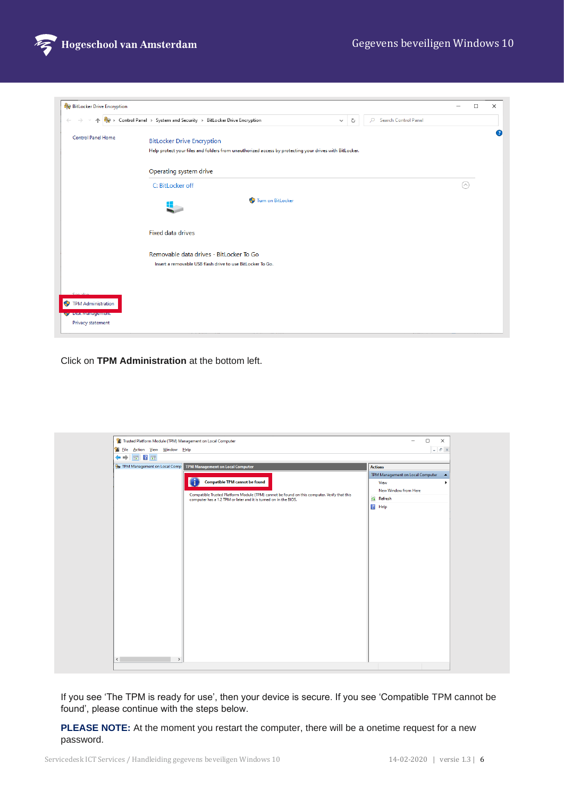

| <b>BitLocker Drive Encryption</b>                   |                                                                                                        |   |                           |            | $\Box$ | $\times$ |
|-----------------------------------------------------|--------------------------------------------------------------------------------------------------------|---|---------------------------|------------|--------|----------|
|                                                     | > Control Panel > System and Security > BitLocker Drive Encryption<br>$\checkmark$                     | Ō | Search Control Panel<br>Q |            |        |          |
| <b>Control Panel Home</b>                           | <b>BitLocker Drive Encryption</b>                                                                      |   |                           |            |        | Ø        |
|                                                     | Help protect your files and folders from unauthorized access by protecting your drives with BitLocker. |   |                           |            |        |          |
|                                                     | Operating system drive                                                                                 |   |                           |            |        |          |
|                                                     | C: BitLocker off                                                                                       |   |                           | $(\wedge)$ |        |          |
|                                                     | Turn on BitLocker                                                                                      |   |                           |            |        |          |
|                                                     | <b>Fixed data drives</b>                                                                               |   |                           |            |        |          |
|                                                     | Removable data drives - BitLocker To Go                                                                |   |                           |            |        |          |
|                                                     | Insert a removable USB flash drive to use BitLocker To Go.                                             |   |                           |            |        |          |
|                                                     |                                                                                                        |   |                           |            |        |          |
| <b>TPM Administration</b><br><u>, uskwanagement</u> |                                                                                                        |   |                           |            |        |          |
| Privacy statement                                   |                                                                                                        |   |                           |            |        |          |

Click on **TPM Administration** at the bottom left.

| Trusted Platform Module (TPM) Management on Local Computer                                  | □<br>$\times$<br>$\qquad \qquad =$                   |
|---------------------------------------------------------------------------------------------|------------------------------------------------------|
| File Action View Window Help                                                                | $ B$ $\times$                                        |
| $\overline{11}$ $\overline{2}$ $\overline{11}$<br>⇔⇒                                        |                                                      |
| TPM Management on Local Comp TPM Management on Local Computer                               | <b>Actions</b>                                       |
|                                                                                             | TPM Management on Local Computer<br>$\blacktriangle$ |
| <b>Compatible TPM cannot be found</b>                                                       | View                                                 |
| Compatible Trusted Platform Module (TPM) cannot be found on this computer. Verify that this | New Window from Here                                 |
| computer has a 1.2 TPM or later and it is turned on in the BIOS.                            | <b>Q</b> Refresh                                     |
|                                                                                             | $\sqrt{?}$ Help                                      |
|                                                                                             |                                                      |
|                                                                                             |                                                      |
|                                                                                             |                                                      |
|                                                                                             |                                                      |
|                                                                                             |                                                      |
|                                                                                             |                                                      |
|                                                                                             |                                                      |
|                                                                                             |                                                      |
|                                                                                             |                                                      |
|                                                                                             |                                                      |
|                                                                                             |                                                      |
|                                                                                             |                                                      |
|                                                                                             |                                                      |
|                                                                                             |                                                      |
|                                                                                             |                                                      |
|                                                                                             |                                                      |
|                                                                                             |                                                      |
|                                                                                             |                                                      |

If you see 'The TPM is ready for use', then your device is secure. If you see 'Compatible TPM cannot be found', please continue with the steps below.

**PLEASE NOTE:** At the moment you restart the computer, there will be a onetime request for a new password.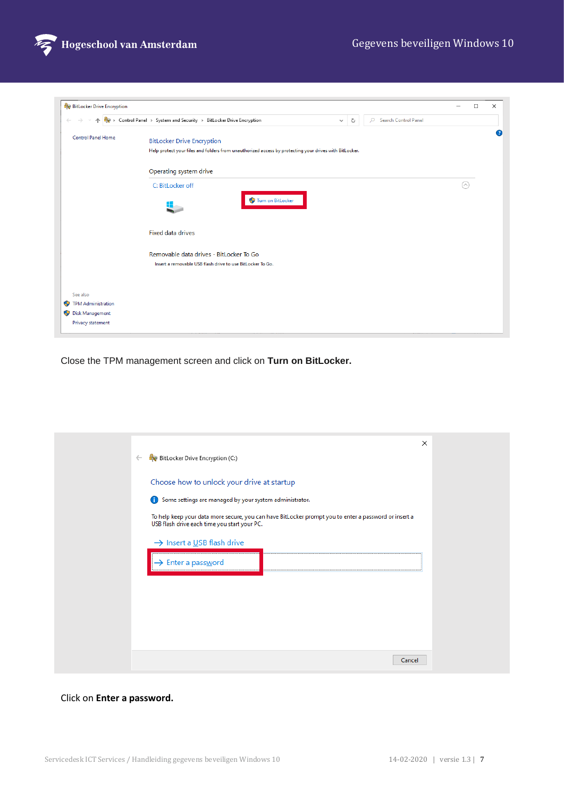

| <b>BitLocker Drive Encryption</b> |                                                                                                                      | $\Box$<br>$\overline{\phantom{0}}$ | $\times$ |
|-----------------------------------|----------------------------------------------------------------------------------------------------------------------|------------------------------------|----------|
| 个                                 | > Control Panel > System and Security > BitLocker Drive Encryption<br>Search Control Panel<br>Q<br>Ō<br>$\checkmark$ |                                    |          |
| <b>Control Panel Home</b>         | <b>BitLocker Drive Encryption</b>                                                                                    |                                    | ◙        |
|                                   | Help protect your files and folders from unauthorized access by protecting your drives with BitLocker.               |                                    |          |
|                                   | Operating system drive                                                                                               |                                    |          |
|                                   | C: BitLocker off                                                                                                     | $(\wedge)$                         |          |
|                                   | Turn on BitLocker                                                                                                    |                                    |          |
|                                   | <b>Fixed data drives</b>                                                                                             |                                    |          |
|                                   | Removable data drives - BitLocker To Go                                                                              |                                    |          |
|                                   | Insert a removable USB flash drive to use BitLocker To Go.                                                           |                                    |          |
|                                   |                                                                                                                      |                                    |          |
| See also                          |                                                                                                                      |                                    |          |
| <b>TPM Administration</b><br>⊕    |                                                                                                                      |                                    |          |
| Disk Management                   |                                                                                                                      |                                    |          |
| Privacy statement                 |                                                                                                                      |                                    |          |

Close the TPM management screen and click on **Turn on BitLocker.**

| Choose how to unlock your drive at startup<br>Some settings are managed by your system administrator.<br>To help keep your data more secure, you can have BitLocker prompt you to enter a password or insert a<br>USB flash drive each time you start your PC.<br>$\rightarrow$ Insert a USB flash drive<br>> Enter a password |  | $\leftarrow$ | BitLocker Drive Encryption (C:) | $\times$ |
|--------------------------------------------------------------------------------------------------------------------------------------------------------------------------------------------------------------------------------------------------------------------------------------------------------------------------------|--|--------------|---------------------------------|----------|
|                                                                                                                                                                                                                                                                                                                                |  |              |                                 |          |
|                                                                                                                                                                                                                                                                                                                                |  |              |                                 |          |

## Click on **Enter a password.**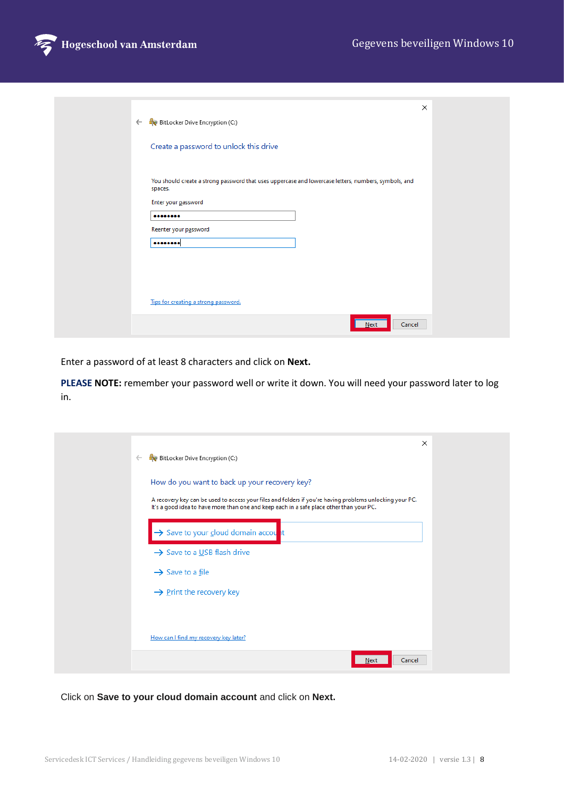

|              |                                                                                                                 | × |  |
|--------------|-----------------------------------------------------------------------------------------------------------------|---|--|
| $\leftarrow$ | <b>BitLocker Drive Encryption (C:)</b>                                                                          |   |  |
|              | Create a password to unlock this drive                                                                          |   |  |
|              | You should create a strong password that uses uppercase and lowercase letters, numbers, symbols, and<br>spaces. |   |  |
|              | Enter your password                                                                                             |   |  |
|              |                                                                                                                 |   |  |
|              | Reenter your password                                                                                           |   |  |
|              |                                                                                                                 |   |  |
|              |                                                                                                                 |   |  |
|              | Tips for creating a strong password.                                                                            |   |  |
|              | Cancel<br>Next                                                                                                  |   |  |

Enter a password of at least 8 characters and click on **Next.**

**PLEASE NOTE:** remember your password well or write it down. You will need your password later to log in.

| $\leftarrow$ | BitLocker Drive Encryption (C:)                                                                                                                                                                                                                       | $\times$ |
|--------------|-------------------------------------------------------------------------------------------------------------------------------------------------------------------------------------------------------------------------------------------------------|----------|
|              | How do you want to back up your recovery key?<br>A recovery key can be used to access your files and folders if you're having problems unlocking your PC.<br>It's a good idea to have more than one and keep each in a safe place other than your PC. |          |
|              | Save to your cloud domain account                                                                                                                                                                                                                     |          |
|              | $\rightarrow$ Save to a USB flash drive                                                                                                                                                                                                               |          |
|              | $\rightarrow$ Save to a file                                                                                                                                                                                                                          |          |
|              | $\rightarrow$ Print the recovery key                                                                                                                                                                                                                  |          |
|              |                                                                                                                                                                                                                                                       |          |
|              | How can I find my recovery key later?                                                                                                                                                                                                                 |          |
|              | Cancel<br>Next                                                                                                                                                                                                                                        |          |

Click on **Save to your cloud domain account** and click on **Next.**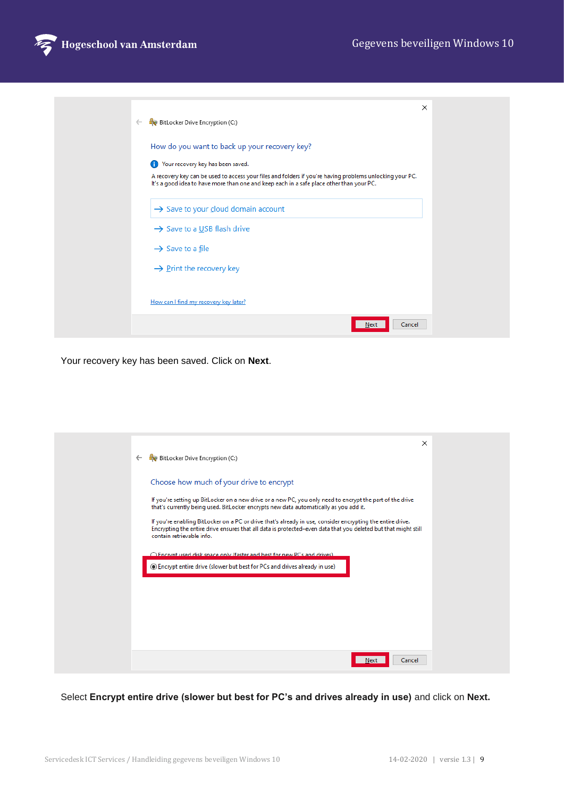

| $\leftarrow$ | BitLocker Drive Encryption (C:)                                                                                                                                                                      | $\times$ |  |
|--------------|------------------------------------------------------------------------------------------------------------------------------------------------------------------------------------------------------|----------|--|
|              | How do you want to back up your recovery key?                                                                                                                                                        |          |  |
|              | Your recovery key has been saved.<br>O                                                                                                                                                               |          |  |
|              | A recovery key can be used to access your files and folders if you're having problems unlocking your PC.<br>It's a good idea to have more than one and keep each in a safe place other than your PC. |          |  |
|              | $\rightarrow$ Save to your cloud domain account                                                                                                                                                      |          |  |
|              | $\rightarrow$ Save to a USB flash drive                                                                                                                                                              |          |  |
|              | $\rightarrow$ Save to a file                                                                                                                                                                         |          |  |
|              | $\rightarrow$ Print the recovery key                                                                                                                                                                 |          |  |
|              | How can I find my recovery key later?                                                                                                                                                                |          |  |
|              | Cancel<br>Next                                                                                                                                                                                       |          |  |

Your recovery key has been saved. Click on **Next**.

| $\leftarrow$ | $\times$<br>BitLocker Drive Encryption (C:)                                                                                                                                                                                                               |
|--------------|-----------------------------------------------------------------------------------------------------------------------------------------------------------------------------------------------------------------------------------------------------------|
|              | Choose how much of your drive to encrypt                                                                                                                                                                                                                  |
|              | If you're setting up BitLocker on a new drive or a new PC, you only need to encrypt the part of the drive<br>that's currently being used. BitLocker encrypts new data automatically as you add it.                                                        |
|              | If you're enabling BitLocker on a PC or drive that's already in use, consider encrypting the entire drive.<br>Encrypting the entire drive ensures that all data is protected-even data that you deleted but that might still<br>contain retrievable info. |
|              | O Encrypt used disk space only (faster and hest for new PCs and drives)                                                                                                                                                                                   |
|              | <b>Encrypt entire drive (slower but best for PCs and drives already in use)</b>                                                                                                                                                                           |
|              |                                                                                                                                                                                                                                                           |
|              |                                                                                                                                                                                                                                                           |
|              |                                                                                                                                                                                                                                                           |
|              |                                                                                                                                                                                                                                                           |
|              |                                                                                                                                                                                                                                                           |
|              | Next<br>Cancel                                                                                                                                                                                                                                            |
|              |                                                                                                                                                                                                                                                           |

Select **Encrypt entire drive (slower but best for PC's and drives already in use)** and click on **Next.**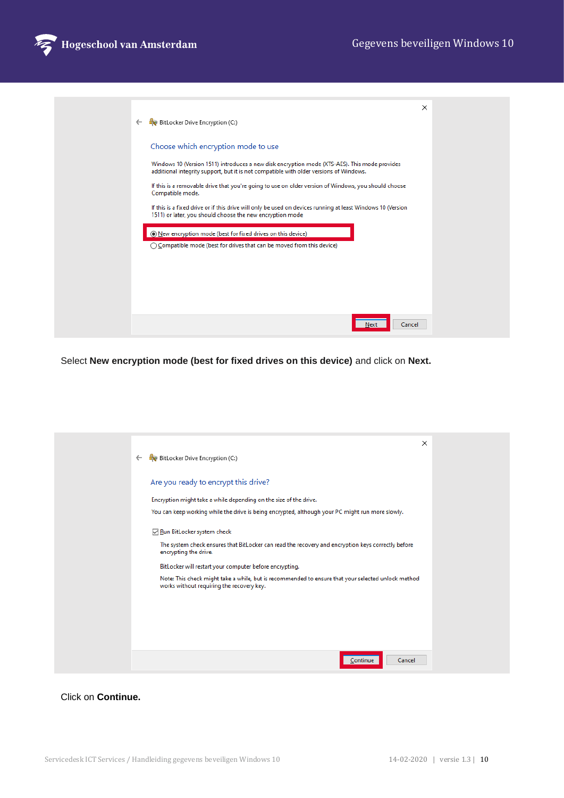

| $\leftarrow$ | BitLocker Drive Encryption (C:)                                                                                                                                                                                                                                                                                                                            | $\times$ |
|--------------|------------------------------------------------------------------------------------------------------------------------------------------------------------------------------------------------------------------------------------------------------------------------------------------------------------------------------------------------------------|----------|
|              | Choose which encryption mode to use<br>Windows 10 (Version 1511) introduces a new disk encryption mode (XTS-AES). This mode provides<br>additional integrity support, but it is not compatible with older versions of Windows.<br>If this is a removable drive that you're going to use on older version of Windows, you should choose<br>Compatible mode. |          |
|              | If this is a fixed drive or if this drive will only be used on devices running at least Windows 10 (Version<br>1511) or later, you should choose the new encryption mode<br>New encryption mode (best for fixed drives on this device)<br>◯ Compatible mode (best for drives that can be moved from this device)                                           |          |
|              |                                                                                                                                                                                                                                                                                                                                                            |          |
|              | Cancel<br>Next                                                                                                                                                                                                                                                                                                                                             |          |

Select **New encryption mode (best for fixed drives on this device)** and click on **Next.**

| $\leftarrow$ | $\times$<br>BitLocker Drive Encryption (C:)                                                                                                                                            |
|--------------|----------------------------------------------------------------------------------------------------------------------------------------------------------------------------------------|
|              | Are you ready to encrypt this drive?<br>Encryption might take a while depending on the size of the drive.                                                                              |
|              | You can keep working while the drive is being encrypted, although your PC might run more slowly.                                                                                       |
|              | Run BitLocker system check                                                                                                                                                             |
|              | The system check ensures that BitLocker can read the recovery and encryption keys correctly before<br>encrypting the drive.<br>BitLocker will restart your computer before encrypting. |
|              | Note: This check might take a while, but is recommended to ensure that your selected unlock method<br>works without requiring the recovery key.                                        |
|              |                                                                                                                                                                                        |
|              |                                                                                                                                                                                        |
|              |                                                                                                                                                                                        |
|              | Continue<br>Cancel                                                                                                                                                                     |

## Click on **Continue.**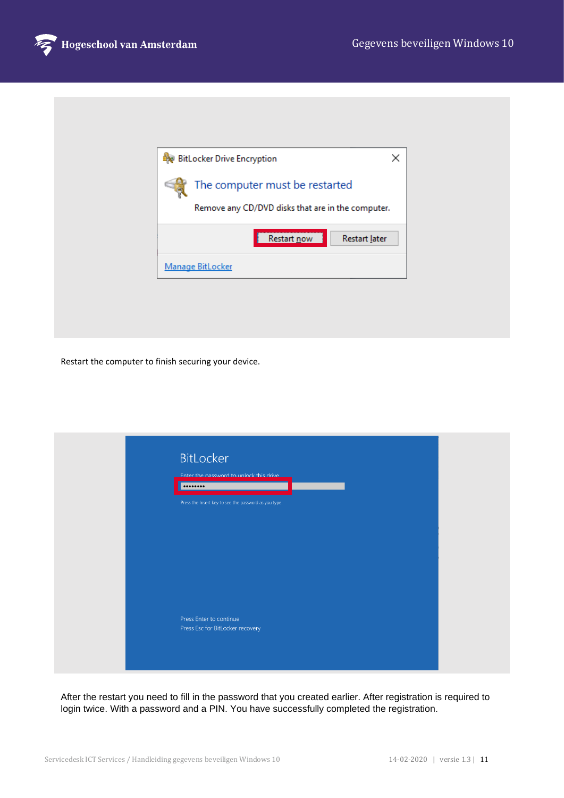

| <b>BitLocker Drive Encryption</b>                                                   | × |
|-------------------------------------------------------------------------------------|---|
| The computer must be restarted<br>Remove any CD/DVD disks that are in the computer. |   |
| Restart now<br>Restart later                                                        |   |
| <b>Manage BitLocker</b>                                                             |   |
|                                                                                     |   |
|                                                                                     |   |

Restart the computer to finish securing your device.

| Enter the password to unlock this drive<br>                 |  |  |
|-------------------------------------------------------------|--|--|
| Press the Insert key to see the password as you type.       |  |  |
|                                                             |  |  |
|                                                             |  |  |
|                                                             |  |  |
|                                                             |  |  |
|                                                             |  |  |
| Press Enter to continue<br>Press Esc for BitLocker recovery |  |  |

After the restart you need to fill in the password that you created earlier. After registration is required to login twice. With a password and a PIN. You have successfully completed the registration.